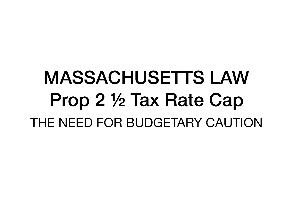# MASSACHUSETTS LAW Prop 2 ½ Tax Rate Cap THE NEED FOR BUDGETARY CAUTION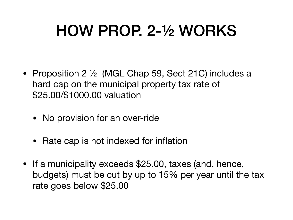### HOW PROP. 2-½ WORKS

- Proposition 2  $\frac{1}{2}$  (MGL Chap 59, Sect 21C) includes a hard cap on the municipal property tax rate of \$25.00/\$1000.00 valuation
	- No provision for an over-ride
	- Rate cap is not indexed for inflation
- If a municipality exceeds \$25.00, taxes (and, hence, budgets) must be cut by up to 15% per year until the tax rate goes below \$25.00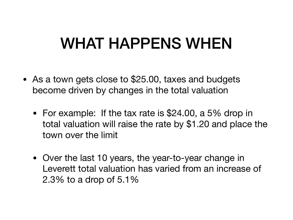#### WHAT HAPPENS WHEN

- As a town gets close to \$25.00, taxes and budgets become driven by changes in the total valuation
	- For example: If the tax rate is \$24.00, a 5% drop in total valuation will raise the rate by \$1.20 and place the town over the limit
	- Over the last 10 years, the year-to-year change in Leverett total valuation has varied from an increase of 2.3% to a drop of 5.1%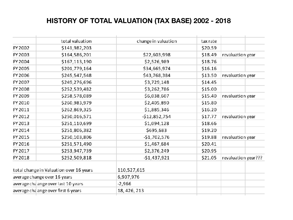#### **HISTORY OF TOTAL VALUATION (TAX BASE) 2002 - 2018**

|                                         | total valuation | change in valuation | tax rate |                     |
|-----------------------------------------|-----------------|---------------------|----------|---------------------|
| FY 2002                                 | \$141,982,203   |                     | \$20.59  |                     |
| FY 2003                                 | \$164,586,201   | \$22,603,998        | \$18.49  | revaluation year    |
| FY 2004                                 | \$167,113,190   | \$2,526,989         | \$18.76  |                     |
| FY 2005                                 | \$201,779,164   | \$34,665,974        | \$16.16  |                     |
| FY 2006                                 | \$245,547,548   | \$43,768,384        | \$13.50  | revaluation year    |
| FY 2007                                 | \$249,276,696   | \$3,729,148         | \$14.45  |                     |
| FY 2008                                 | \$252,539,482   | \$3,262,786         | \$15.00  |                     |
| FY 2009                                 | \$258,578,089   | \$6,038,607         | \$15.40  | revaluation year    |
| FY 2010                                 | \$260,983,979   | \$2,405,890         | \$15.80  |                     |
| FY 2011                                 | \$262,869,325   | \$1,885,346         | \$16.20  |                     |
| FY 2012                                 | \$250,016,571   | -\$12,852,754       | \$17.77  | revaluation year    |
| FY 2013                                 | \$251,110,699   | \$1,094,128         | \$18.66  |                     |
| FY 2014                                 | \$251,806,382   | \$695,683           | \$19.20  |                     |
| FY 2015                                 | \$250,103,806   | -\$1,702,576        | \$19.88  | revaluation year    |
| FY 2016                                 | \$251,571,490   | \$1,467,684         | \$20.41  |                     |
| FY 2017                                 | \$253,947,739   | \$2,376,249         | \$20.95  |                     |
| FY 2018                                 | \$252,509,818   | $-51,437,921$       | \$21.05  | revaluation year??? |
| total change in Valuation over 16 years |                 | 110,527,615         |          |                     |
| average change over 16 years            |                 | 6,907,976           |          |                     |
| average cha ange over last 10 years     |                 | -2,966              |          |                     |
| average cha ange over first 6 years     |                 | 18, 426, 213        |          |                     |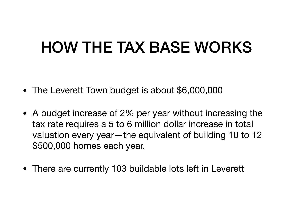#### HOW THE TAX BASE WORKS

- The Leverett Town budget is about \$6,000,000
- A budget increase of 2% per year without increasing the tax rate requires a 5 to 6 million dollar increase in total valuation every year—the equivalent of building 10 to 12 \$500,000 homes each year.
- There are currently 103 buildable lots left in Leverett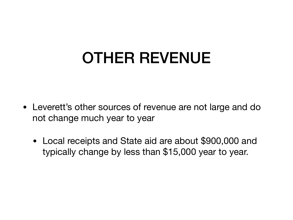## OTHER REVENUE

- Leverett's other sources of revenue are not large and do not change much year to year
	- Local receipts and State aid are about \$900,000 and typically change by less than \$15,000 year to year.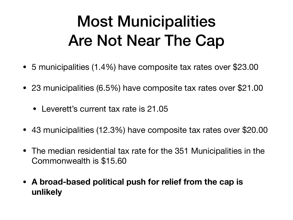## Most Municipalities Are Not Near The Cap

- 5 municipalities (1.4%) have composite tax rates over \$23.00
- 23 municipalities (6.5%) have composite tax rates over \$21.00
	- Leverett's current tax rate is 21.05
- 43 municipalities (12.3%) have composite tax rates over \$20.00
- The median residential tax rate for the 351 Municipalities in the Commonwealth is \$15.60
- **• A broad-based political push for relief from the cap is unlikely**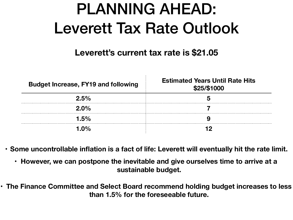### PLANNING AHEAD: Leverett Tax Rate Outlook

#### **Leverett's current tax rate is \$21.05**

| <b>Budget Increase, FY19 and following</b> | <b>Estimated Years Until Rate Hits</b><br>\$25/\$1000 |  |
|--------------------------------------------|-------------------------------------------------------|--|
| $2.5\%$                                    |                                                       |  |
| $2.0\%$                                    |                                                       |  |
| 1.5%                                       |                                                       |  |
| 1.0%                                       |                                                       |  |

**• Some uncontrollable inflation is a fact of life: Leverett will eventually hit the rate limit.**

- **• However, we can postpone the inevitable and give ourselves time to arrive at a sustainable budget.**
- **• The Finance Committee and Select Board recommend holding budget increases to less than 1.5% for the foreseeable future.**